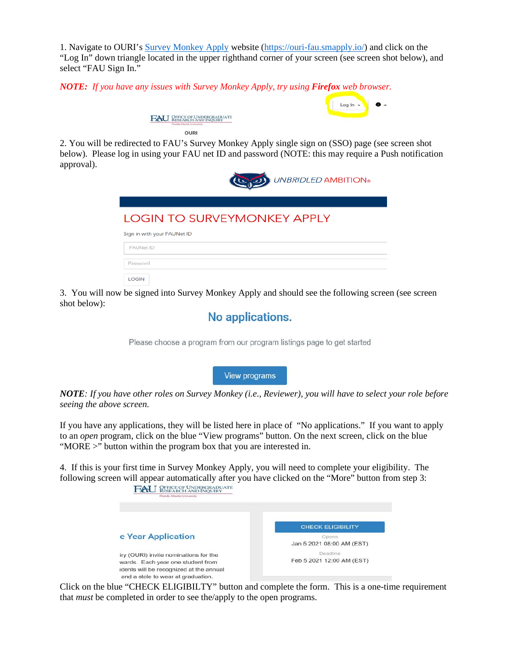1. Navigate to OURI's [Survey Monkey Apply](https://ouri-fau.smapply.io/) website [\(https://ouri-fau.smapply.io/\)](https://ouri-fau.smapply.io/) and click on the "Log In" down triangle located in the upper righthand corner of your screen (see screen shot below), and select "FAU Sign In."

*NOTE: If you have any issues with Survey Monkey Apply, try using Firefox web browser.*



**OURI** 

2. You will be redirected to FAU's Survey Monkey Apply single sign on (SSO) page (see screen shot below). Please log in using your FAU net ID and password (NOTE: this may require a Push notification approval).



## **LOGIN TO SURVEYMONKEY APPLY**

| Sign in with your FAUNet ID |
|-----------------------------|
| <b>FAUNet ID</b>            |
| Password                    |
| <b>LOGIN</b>                |

3. You will now be signed into Survey Monkey Apply and should see the following screen (see screen shot below):

## No applications.

Please choose a program from our program listings page to get started

**View programs** 

*NOTE: If you have other roles on Survey Monkey (i.e., Reviewer), you will have to select your role before seeing the above screen.*

If you have any applications, they will be listed here in place of "No applications." If you want to apply to an *open* program, click on the blue "View programs" button. On the next screen, click on the blue "MORE >" button within the program box that you are interested in.

4. If this is your first time in Survey Monkey Apply, you will need to complete your eligibility. The following screen will appear automatically after you have clicked on the "More" button from step 3:



Click on the blue "CHECK ELIGIBILTY" button and complete the form. This is a one-time requirement that *must* be completed in order to see the/apply to the open programs.